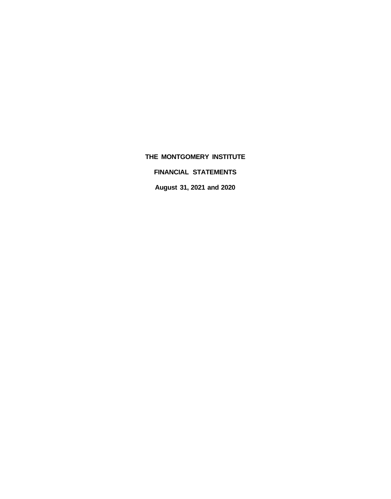**FINANCIAL STATEMENTS**

**August 31, 2021 and 2020**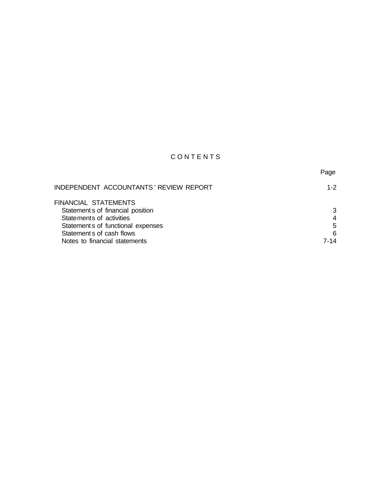# CONTENTS

|                                        | Page           |
|----------------------------------------|----------------|
| INDEPENDENT ACCOUNTANTS' REVIEW REPORT | $1 - 2$        |
| FINANCIAL STATEMENTS                   |                |
| Statement s of financial position      | 3              |
| Statements of activities               | $\overline{4}$ |
| Statement s of functional expenses     | 5              |
| Statement s of cash flows              | 6              |
| Notes to financial statements          | 7-14           |
|                                        |                |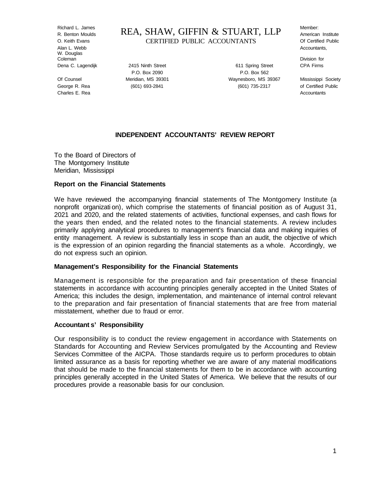Alan L. Webb Accountants, W. Douglas Coleman Division for

Charles E. Rea Accountants

Richard L. James REA, SHAW, GIFFIN & STUART, LLP Member: R. Benton Moulds American Institute O. Keith Evans **CERTIFIED PUBLIC ACCOUNTANTS** Of Certified Public

Dena C. Lagendijk 2415 Ninth Street 611 Spring Street CPA Firms P.O. Box 2090 P.O. Box 562 Of Counsel Meridian, MS 39301 Waynesboro, MS 39367 Mississippi Society George R. Rea (601) 693-2841 (601) 693-2841 (601) 735-2317 of Certified Public

#### **INDEPENDENT ACCOUNTANTS' REVIEW REPORT**

To the Board of Directors of The Montgomery Institute Meridian, Mississippi

#### **Report on the Financial Statements**

We have reviewed the accompanying financial statements of The Montgomery Institute (a nonprofit organizati on), which comprise the statements of financial position as of August 31, 2021 and 2020, and the related statements of activities, functional expenses, and cash flows for the years then ended, and the related notes to the financial statements. A review includes primarily applying analytical procedures to management's financial data and making inquiries of entity management. A review is substantially less in scope than an audit, the objective of which is the expression of an opinion regarding the financial statements as a whole. Accordingly, we do not express such an opinion.

#### **Management's Responsibility for the Financial Statements**

Management is responsible for the preparation and fair presentation of these financial statements in accordance with accounting principles generally accepted in the United States of America; this includes the design, implementation, and maintenance of internal control relevant to the preparation and fair presentation of financial statements that are free from material misstatement, whether due to fraud or error.

#### **Accountant s' Responsibility**

Our responsibility is to conduct the review engagement in accordance with Statements on Standards for Accounting and Review Services promulgated by the Accounting and Review Services Committee of the AICPA. Those standards require us to perform procedures to obtain limited assurance as a basis for reporting whether we are aware of any material modifications that should be made to the financial statements for them to be in accordance with accounting principles generally accepted in the United States of America. We believe that the results of our procedures provide a reasonable basis for our conclusion.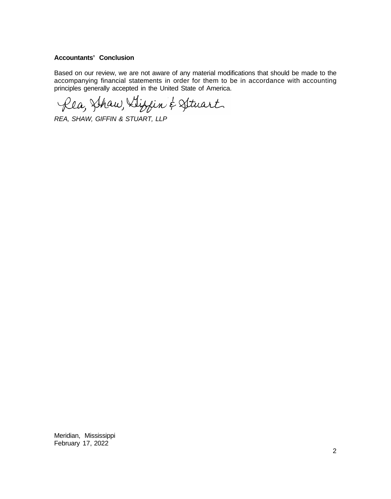# **Accountants' Conclusion**

Based on our review, we are not aware of any material modifications that should be made to the accompanying financial statements in order for them to be in accordance with accounting principles generally accepted in the United State of America.

Rea, Shaw, Llippin & Struart

*REA, SHAW, GIFFIN & STUART, LLP*

Meridian, Mississippi February 17, 2022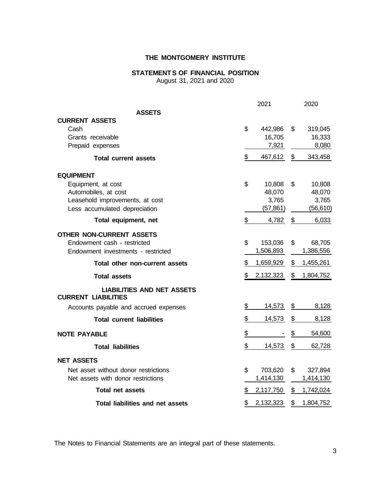# **STATEMENTS OF FINANCIAL POSITION**

August 31, 2021 and 2020

|                                                                 | 2021            | 2020            |
|-----------------------------------------------------------------|-----------------|-----------------|
| <b>ASSETS</b>                                                   |                 |                 |
| <b>CURRENT ASSETS</b>                                           |                 |                 |
| Cash                                                            | \$<br>442,986   | \$<br>319,045   |
| Grants receivable                                               | 16,705          | 16,333          |
| Prepaid expenses                                                | 7,921           | 8,080           |
| <b>Total current assets</b>                                     | \$<br>467,612   | \$<br>343,458   |
| <b>EQUIPMENT</b>                                                |                 |                 |
| Equipment, at cost                                              | \$<br>10,808    | \$<br>10,808    |
| Automobiles, at cost                                            | 48,070          | 48,070          |
| Leasehold improvements, at cost                                 | 3,765           | 3,765           |
| Less accumulated depreciation                                   | (57, 861)       | (56, 610)       |
| Total equipment, net                                            | \$<br>4,782     | \$<br>6,033     |
| <b>OTHER NON-CURRENT ASSETS</b>                                 |                 |                 |
| Endowment cash - restricted                                     | \$<br>153,036   | \$<br>68,705    |
| Endowment investments - restricted                              | 1,506,893       | 1,386,556       |
| Total other non-current assets                                  | \$<br>1,659,929 | \$<br>1,455,261 |
| <b>Total assets</b>                                             | \$<br>2,132,323 | \$<br>1,804,752 |
| <b>LIABILITIES AND NET ASSETS</b><br><b>CURRENT LIABILITIES</b> |                 |                 |
| Accounts payable and accrued expenses                           | \$<br>14,573    | \$<br>8,128     |
| <b>Total current liabilities</b>                                | \$<br>14,573    | \$<br>8,128     |
| <b>NOTE PAYABLE</b>                                             | \$              | \$<br>54,600    |
| <b>Total liabilities</b>                                        | \$<br>14,573    | \$<br>62,728    |
| <b>NET ASSETS</b>                                               |                 |                 |
| Net asset without donor restrictions                            | \$<br>703,620   | \$<br>327,894   |
| Net assets with donor restrictions                              | 1,414,130       | 1,414,130       |
| <b>Total net assets</b>                                         | \$<br>2,117,750 | \$<br>1,742,024 |
| <b>Total liabilities and net assets</b>                         | \$<br>2,132,323 | \$<br>1,804,752 |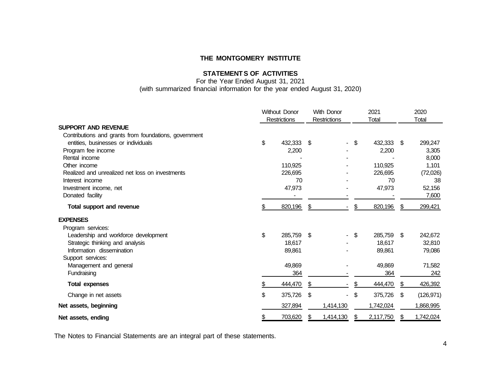# **STATEMENTS OF ACTIVITIES**

For the Year Ended August 31, 2021 (with summarized financial information for the year ended August 31, 2020)

|                                                                                              |     | <b>Without Donor</b> |     | <b>With Donor</b> | 2021             |     | 2020       |
|----------------------------------------------------------------------------------------------|-----|----------------------|-----|-------------------|------------------|-----|------------|
|                                                                                              |     | <b>Restrictions</b>  |     | Restrictions      | <b>Total</b>     |     | Total      |
| <b>SUPPORT AND REVENUE</b>                                                                   |     |                      |     |                   |                  |     |            |
| Contributions and grants from foundations, government<br>entities, businesses or individuals | \$  | 432,333              | - S |                   | \$<br>432,333 \$ |     | 299,247    |
| Program fee income                                                                           |     | 2,200                |     |                   | 2,200            |     | 3,305      |
| Rental income                                                                                |     |                      |     |                   |                  |     | 8,000      |
| Other income                                                                                 |     | 110,925              |     |                   | 110,925          |     | 1,101      |
| Realized and unrealized net loss on investments                                              |     | 226,695              |     |                   | 226,695          |     | (72,026)   |
| Interest income                                                                              |     | 70                   |     |                   | 70               |     | 38         |
| Investment income, net                                                                       |     | 47,973               |     |                   | 47,973           |     | 52,156     |
| Donated facility                                                                             |     |                      |     |                   |                  |     | 7,600      |
|                                                                                              |     |                      |     |                   |                  |     |            |
| Total support and revenue                                                                    | \$. | 820,196              | \$  |                   | \$<br>820,196    | S   | 299,421    |
| <b>EXPENSES</b>                                                                              |     |                      |     |                   |                  |     |            |
| Program services:                                                                            |     |                      |     |                   |                  |     |            |
| Leadership and workforce development                                                         | \$  | 285,759              | \$  |                   | \$<br>285,759 \$ |     | 242,672    |
| Strategic thinking and analysis                                                              |     | 18,617               |     |                   | 18,617           |     | 32,810     |
| Information dissemination                                                                    |     | 89,861               |     |                   | 89,861           |     | 79,086     |
| Support services:                                                                            |     |                      |     |                   |                  |     |            |
| Management and general                                                                       |     | 49,869               |     |                   | 49,869           |     | 71,582     |
| Fundraising                                                                                  |     | 364                  |     |                   | 364              |     | 242        |
| <b>Total expenses</b>                                                                        |     | 444,470              | \$. |                   | 444,470          | \$  | 426,392    |
| Change in net assets                                                                         | \$  | 375,726              | \$  |                   | \$<br>375,726    | -\$ | (126, 971) |
| Net assets, beginning                                                                        |     | 327,894              |     | 1,414,130         | 1,742,024        |     | 1,868,995  |
| Net assets, ending                                                                           |     | 703,620              | æ.  | 1,414,130         | 2,117,750        | £.  | 1,742,024  |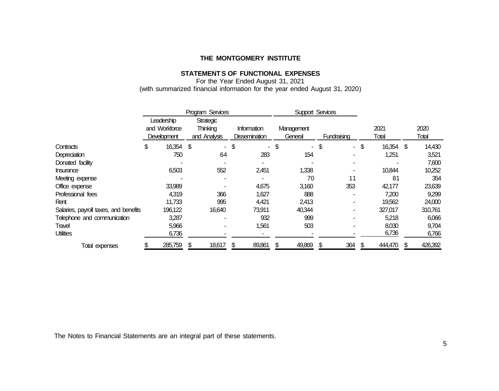# **STATEMENTS OF FUNCTIONAL EXPENSES**

For the Year Ended August 31, 2021 (with summarized financial information for the year ended August 31, 2020)

|                                       | Program Services                           |           |                                       |     | <b>Support Services</b>             |    |                       |             |     |        |               |               |
|---------------------------------------|--------------------------------------------|-----------|---------------------------------------|-----|-------------------------------------|----|-----------------------|-------------|-----|--------|---------------|---------------|
|                                       | Leadership<br>and Workforce<br>Development |           | Strategic<br>Thinking<br>and Analysis |     | Information<br><b>Dissemination</b> |    | Management<br>General | Fundraising |     |        | 2021<br>Total | 2020<br>Total |
| Contracts                             | \$                                         | 16,354 \$ |                                       | \$  |                                     | \$ |                       | \$          |     | $-$ \$ | 16,354 \$     | 14,430        |
| Depreciation                          |                                            | 750       | 64                                    |     | 283                                 |    | 154                   |             |     |        | 1,251         | 3,521         |
| Donated facility                      |                                            |           |                                       |     |                                     |    |                       |             |     |        |               | 7,600         |
| Insurance                             |                                            | 6,503     | 552                                   |     | 2,451                               |    | 1,338                 |             |     |        | 10,844        | 10,252        |
| Meeting expense                       |                                            |           |                                       |     |                                     |    | 70                    |             | 11  |        | 81            | 354           |
| Office expense                        |                                            | 33,989    |                                       |     | 4,675                               |    | 3,160                 |             | 353 |        | 42,177        | 23,639        |
| Professional fees                     |                                            | 4,319     | 366                                   |     | 1,627                               |    | 888                   |             |     |        | 7,200         | 9,299         |
| Rent                                  |                                            | 11,733    | 995                                   |     | 4,421                               |    | 2,413                 |             |     |        | 19,562        | 24,000        |
| Salaries, payroll taxes, and benefits | 196,122                                    |           | 16,640                                |     | 73,911                              |    | 40,344                |             |     |        | 327,017       | 310,761       |
| Telephone and communication           |                                            | 3,287     |                                       |     | 932                                 |    | 999                   |             |     |        | 5,218         | 6,066         |
| Travel                                |                                            | 5,966     |                                       |     | 1,561                               |    | 503                   |             |     |        | 8,030         | 9,704         |
| <b>Utilities</b>                      |                                            | 6,736     |                                       |     |                                     |    |                       |             |     |        | 6,736         | 6,766         |
| Total expenses                        | 285,759                                    |           | 18,617                                | \$. | 89,861                              |    | 49,869                | S           | 364 | \$.    | 444,470       | 426,392       |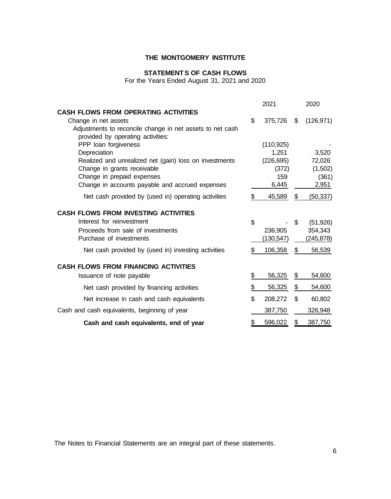# **STATEMENTS OF CASH FLOWS**

For the Years Ended August 31, 2021 and 2020

|                                                                                                |                          | 2021       | 2020             |
|------------------------------------------------------------------------------------------------|--------------------------|------------|------------------|
| <b>CASH FLOWS FROM OPERATING ACTIVITIES</b>                                                    |                          |            |                  |
| Change in net assets                                                                           | \$                       | 375,726    | \$<br>(126, 971) |
| Adjustments to reconcile change in net assets to net cash<br>provided by operating activities: |                          |            |                  |
| PPP loan forgiveness                                                                           |                          | (110, 925) |                  |
| Depreciation                                                                                   |                          | 1,251      | 3,520            |
| Realized and unrealized net (gain) loss on investments                                         |                          | (226, 695) | 72,026           |
| Change in grants receivable                                                                    |                          | (372)      | (1,502)          |
| Change in prepaid expenses                                                                     |                          | 159        | (361)            |
| Change in accounts payable and accrued expenses                                                |                          | 6,445      | 2,951            |
| Net cash provided by (used in) operating activities                                            | \$                       | 45,589     | \$<br>(50, 337)  |
| <b>CASH FLOWS FROM INVESTING ACTIVITIES</b>                                                    |                          |            |                  |
| Interest for reinvestment                                                                      | \$                       |            | \$<br>(51, 926)  |
| Proceeds from sale of investments                                                              |                          | 236,905    | 354,343          |
| Purchase of investments                                                                        |                          | (130,547)  | (245,878)        |
| Net cash provided by (used in) investing activities                                            | \$                       | 106,358    | \$<br>56,539     |
| <b>CASH FLOWS FROM FINANCING ACTIVITIES</b>                                                    |                          |            |                  |
| Issuance of note payable                                                                       | \$                       | 56,325     | \$<br>54,600     |
| Net cash provided by financing activities                                                      | $\overline{\mathcal{L}}$ | 56,325     | \$<br>54,600     |
| Net increase in cash and cash equivalents                                                      | \$                       | 208,272    | \$<br>60,802     |
| Cash and cash equivalents, beginning of year                                                   |                          | 387,750    | 326,948          |
| Cash and cash equivalents, end of year                                                         |                          | 596,022    | \$<br>387,750    |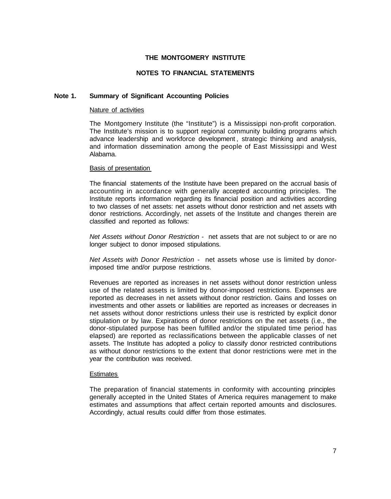# **NOTES TO FINANCIAL STATEMENTS**

#### **Note 1. Summary of Significant Accounting Policies**

#### Nature of activities

The Montgomery Institute (the "Institute") is a Mississippi non-profit corporation. The Institute's mission is to support regional community building programs which advance leadership and workforce development , strategic thinking and analysis, and information dissemination among the people of East Mississippi and West Alabama.

#### Basis of presentation

The financial statements of the Institute have been prepared on the accrual basis of accounting in accordance with generally accepted accounting principles. The Institute reports information regarding its financial position and activities according to two classes of net assets: net assets without donor restriction and net assets with donor restrictions. Accordingly, net assets of the Institute and changes therein are classified and reported as follows:

*Net Assets without Donor Restriction -* net assets that are not subject to or are no longer subject to donor imposed stipulations.

*Net Assets with Donor Restriction -* net assets whose use is limited by donorimposed time and/or purpose restrictions.

Revenues are reported as increases in net assets without donor restriction unless use of the related assets is limited by donor-imposed restrictions. Expenses are reported as decreases in net assets without donor restriction. Gains and losses on investments and other assets or liabilities are reported as increases or decreases in net assets without donor restrictions unless their use is restricted by explicit donor stipulation or by law. Expirations of donor restrictions on the net assets (i.e., the donor-stipulated purpose has been fulfilled and/or the stipulated time period has elapsed) are reported as reclassifications between the applicable classes of net assets. The Institute has adopted a policy to classify donor restricted contributions as without donor restrictions to the extent that donor restrictions were met in the year the contribution was received.

#### **Estimates**

The preparation of financial statements in conformity with accounting principles generally accepted in the United States of America requires management to make estimates and assumptions that affect certain reported amounts and disclosures. Accordingly, actual results could differ from those estimates.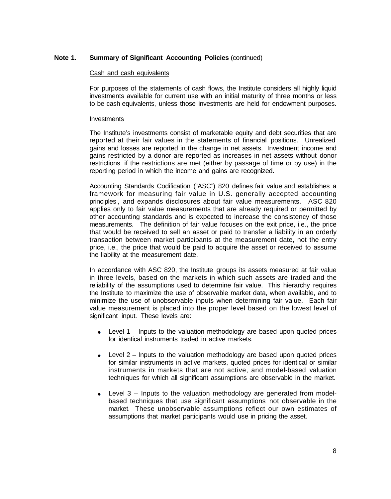#### Cash and cash equivalents

For purposes of the statements of cash flows, the Institute considers all highly liquid investments available for current use with an initial maturity of three months or less to be cash equivalents, unless those investments are held for endowment purposes.

#### Investments

The Institute's investments consist of marketable equity and debt securities that are reported at their fair values in the statements of financial positions. Unrealized gains and losses are reported in the change in net assets. Investment income and gains restricted by a donor are reported as increases in net assets without donor restrictions if the restrictions are met (either by passage of time or by use) in the reporting period in which the income and gains are recognized.

Accounting Standards Codification ("ASC") 820 defines fair value and establishes a framework for measuring fair value in U.S. generally accepted accounting principles , and expands disclosures about fair value measurements. ASC 820 applies only to fair value measurements that are already required or permitted by other accounting standards and is expected to increase the consistency of those measurements. The definition of fair value focuses on the exit price, i.e., the price that would be received to sell an asset or paid to transfer a liability in an orderly transaction between market participants at the measurement date, not the entry price, i.e., the price that would be paid to acquire the asset or received to assume the liability at the measurement date.

In accordance with ASC 820, the Institute groups its assets measured at fair value in three levels, based on the markets in which such assets are traded and the reliability of the assumptions used to determine fair value. This hierarchy requires the Institute to maximize the use of observable market data, when available, and to minimize the use of unobservable inputs when determining fair value. Each fair value measurement is placed into the proper level based on the lowest level of significant input. These levels are:

- Level 1 Inputs to the valuation methodology are based upon quoted prices  $\bullet$ for identical instruments traded in active markets.
- Level 2 Inputs to the valuation methodology are based upon quoted prices  $\bullet$ for similar instruments in active markets, quoted prices for identical or similar instruments in markets that are not active, and model-based valuation techniques for which all significant assumptions are observable in the market.
- Level 3 Inputs to the valuation methodology are generated from modelbased techniques that use significant assumptions not observable in the market. These unobservable assumptions reflect our own estimates of assumptions that market participants would use in pricing the asset.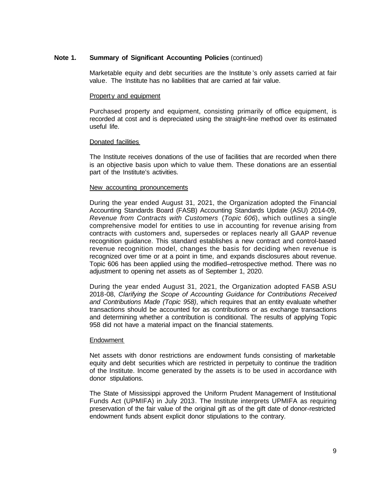Marketable equity and debt securities are the Institute 's only assets carried at fair value. The Institute has no liabilities that are carried at fair value.

#### Property and equipment

Purchased property and equipment, consisting primarily of office equipment, is recorded at cost and is depreciated using the straight-line method over its estimated useful life.

#### Donated facilities

The Institute receives donations of the use of facilities that are recorded when there is an objective basis upon which to value them. These donations are an essential part of the Institute's activities.

#### New accounting pronouncements

During the year ended August 31, 2021, the Organization adopted the Financial Accounting Standards Board (FASB) Accounting Standards Update (ASU) 2014-09, *Revenue from Contracts with Customers* (*Topic 606*), which outlines a single comprehensive model for entities to use in accounting for revenue arising from contracts with customers and, supersedes or replaces nearly all GAAP revenue recognition guidance. This standard establishes a new contract and control-based revenue recognition model, changes the basis for deciding when revenue is recognized over time or at a point in time, and expands disclosures about revenue. Topic 606 has been applied using the modified–retrospective method. There was no adjustment to opening net assets as of September 1, 2020.

During the year ended August 31, 2021, the Organization adopted FASB ASU 2018-08, *Clarifying the Scope of Accounting Guidance for Contributions Received and Contributions Made (Topic 958)*, which requires that an entity evaluate whether transactions should be accounted for as contributions or as exchange transactions and determining whether a contribution is conditional. The results of applying Topic 958 did not have a material impact on the financial statements.

#### **Endowment**

Net assets with donor restrictions are endowment funds consisting of marketable equity and debt securities which are restricted in perpetuity to continue the tradition of the Institute. Income generated by the assets is to be used in accordance with donor stipulations.

The State of Mississippi approved the Uniform Prudent Management of Institutional Funds Act (UPMIFA) in July 2013. The Institute interprets UPMIFA as requiring preservation of the fair value of the original gift as of the gift date of donor-restricted endowment funds absent explicit donor stipulations to the contrary.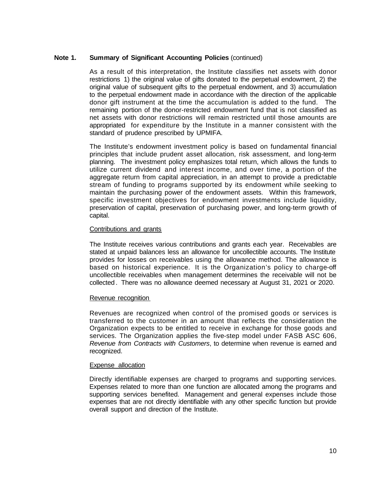As a result of this interpretation, the Institute classifies net assets with donor restrictions 1) the original value of gifts donated to the perpetual endowment, 2) the original value of subsequent gifts to the perpetual endowment, and 3) accumulation to the perpetual endowment made in accordance with the direction of the applicable donor gift instrument at the time the accumulation is added to the fund. The remaining portion of the donor-restricted endowment fund that is not classified as net assets with donor restrictions will remain restricted until those amounts are appropriated for expenditure by the Institute in a manner consistent with the standard of prudence prescribed by UPMIFA.

The Institute's endowment investment policy is based on fundamental financial principles that include prudent asset allocation, risk assessment, and long-term planning. The investment policy emphasizes total return, which allows the funds to utilize current dividend and interest income, and over time, a portion of the aggregate return from capital appreciation, in an attempt to provide a predictable stream of funding to programs supported by its endowment while seeking to maintain the purchasing power of the endowment assets. Within this framework, specific investment objectives for endowment investments include liquidity, preservation of capital, preservation of purchasing power, and long-term growth of capital.

#### Contributions and grants

The Institute receives various contributions and grants each year. Receivables are stated at unpaid balances less an allowance for uncollectible accounts. The Institute provides for losses on receivables using the allowance method. The allowance is based on historical experience. It is the Organization's policy to charge-off uncollectible receivables when management determines the receivable will not be collected . There was no allowance deemed necessary at August 31, 2021 or 2020.

#### Revenue recognition

Revenues are recognized when control of the promised goods or services is transferred to the customer in an amount that reflects the consideration the Organization expects to be entitled to receive in exchange for those goods and services. The Organization applies the five-step model under FASB ASC 606, *Revenue from Contracts with Customers*, to determine when revenue is earned and recognized.

#### Expense allocation

Directly identifiable expenses are charged to programs and supporting services. Expenses related to more than one function are allocated among the programs and supporting services benefited. Management and general expenses include those expenses that are not directly identifiable with any other specific function but provide overall support and direction of the Institute.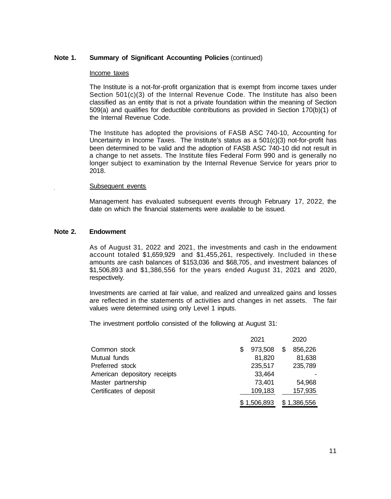#### Income taxes

The Institute is a not-for-profit organization that is exempt from income taxes under Section 501(c)(3) of the Internal Revenue Code. The Institute has also been classified as an entity that is not a private foundation within the meaning of Section 509(a) and qualifies for deductible contributions as provided in Section 170(b)(1) of the Internal Revenue Code.

The Institute has adopted the provisions of FASB ASC 740-10, Accounting for Uncertainty in Income Taxes. The Institute's status as a  $501(c)(3)$  not-for-profit has been determined to be valid and the adoption of FASB ASC 740-10 did not result in a change to net assets. The Institute files Federal Form 990 and is generally no longer subject to examination by the Internal Revenue Service for years prior to 2018.

#### Subsequent events

Management has evaluated subsequent events through February 17, 2022, the date on which the financial statements were available to be issued.

#### **Note 2. Endowment**

As of August 31, 2022 and 2021, the investments and cash in the endowment account totaled \$1,659,929 and \$1,455,261, respectively. Included in these amounts are cash balances of \$153,036 and \$68,705, and investment balances of \$1,506,893 and \$1,386,556 for the years ended August 31, 2021 and 2020, respectively.

Investments are carried at fair value, and realized and unrealized gains and losses are reflected in the statements of activities and changes in net assets. The fair values were determined using only Level 1 inputs.

The investment portfolio consisted of the following at August 31:

|                              | 2021          |   | 2020        |
|------------------------------|---------------|---|-------------|
| Common stock                 | \$<br>973,508 | S | 856,226     |
| Mutual funds                 | 81,820        |   | 81,638      |
| Preferred stock              | 235,517       |   | 235,789     |
| American depository receipts | 33,464        |   |             |
| Master partnership           | 73,401        |   | 54,968      |
| Certificates of deposit      | 109,183       |   | 157,935     |
|                              | \$1,506,893   |   | \$1,386,556 |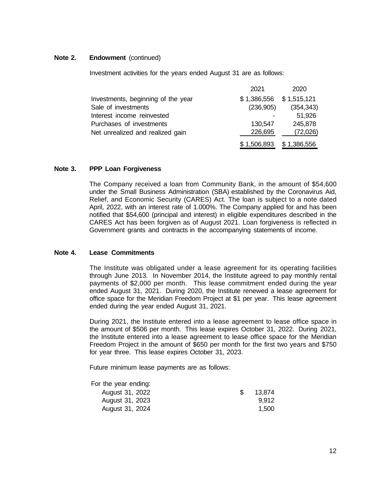# **Note 2. Endowment** (continued)

Investment activities for the years ended August 31 are as follows:

|                                    | 2021                      | 2020       |
|------------------------------------|---------------------------|------------|
| Investments, beginning of the year | $$1,386,556$ $$1,515,121$ |            |
| Sale of investments                | (236,905)                 | (354, 343) |
| Interest income reinvested         |                           | 51,926     |
| Purchases of investments           | 130,547                   | 245,878    |
| Net unrealized and realized gain   | 226,695                   | (72,026)   |
|                                    | $$1,506,893$ $$1,386,556$ |            |

#### **Note 3. PPP Loan Forgiveness**

The Company received a loan from Community Bank, in the amount of \$54,600 under the Small Business Administration (SBA) established by the Coronavirus Aid, Relief, and Economic Security (CARES) Act. The loan is subject to a note dated April, 2022, with an interest rate of 1.000%. The Company applied for and has been notified that \$54,600 (principal and interest) in eligible expenditures described in the CARES Act has been forgiven as of August 2021. Loan forgiveness is reflected in Government grants and contracts in the accompanying statements of income.

#### **Note 4. Lease Commitments**

The Institute was obligated under a lease agreement for its operating facilities through June 2013. In November 2014, the Institute agreed to pay monthly rental payments of \$2,000 per month. This lease commitment ended during the year ended August 31, 2021. During 2020, the Institute renewed a lease agreement for office space for the Meridian Freedom Project at \$1 per year. This lease agreement ended during the year ended August 31, 2021.

During 2021, the Institute entered into a lease agreement to lease office space in the amount of \$506 per month. This lease expires October 31, 2022. During 2021, the Institute entered into a lease agreement to lease office space for the Meridian Freedom Project in the amount of \$650 per month for the first two years and \$750 for year three. This lease expires October 31, 2023.

Future minimum lease payments are as follows:

For the year ending:

| August 31, 2022 |  | 13,874 |
|-----------------|--|--------|
| August 31, 2023 |  | 9.912  |
| August 31, 2024 |  | 1.500  |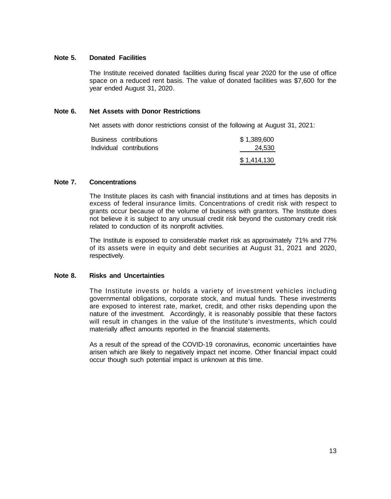# **Note 5. Donated Facilities**

The Institute received donated facilities during fiscal year 2020 for the use of office space on a reduced rent basis. The value of donated facilities was \$7,600 for the year ended August 31, 2020.

#### **Note 6. Net Assets with Donor Restrictions**

Net assets with donor restrictions consist of the following at August 31, 2021:

| Business contributions   | \$1,389,600 |
|--------------------------|-------------|
| Individual contributions | 24,530      |
|                          | \$1,414,130 |

# **Note 7. Concentrations**

The Institute places its cash with financial institutions and at times has deposits in excess of federal insurance limits. Concentrations of credit risk with respect to grants occur because of the volume of business with grantors. The Institute does not believe it is subject to any unusual credit risk beyond the customary credit risk related to conduction of its nonprofit activities.

The Institute is exposed to considerable market risk as approximately 71% and 77% of its assets were in equity and debt securities at August 31, 2021 and 2020, respectively.

#### **Note 8. Risks and Uncertainties**

The Institute invests or holds a variety of investment vehicles including governmental obligations, corporate stock, and mutual funds. These investments are exposed to interest rate, market, credit, and other risks depending upon the nature of the investment. Accordingly, it is reasonably possible that these factors will result in changes in the value of the Institute's investments, which could materially affect amounts reported in the financial statements.

As a result of the spread of the COVID-19 coronavirus, economic uncertainties have arisen which are likely to negatively impact net income. Other financial impact could occur though such potential impact is unknown at this time.